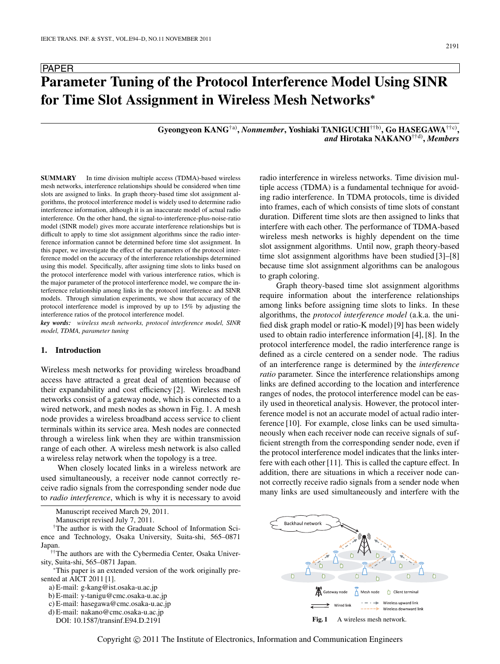# **Parameter Tuning of the Protocol Interference Model Using SINR for Time Slot Assignment in Wireless Mesh Networks**<sup>∗</sup>

# **Gyeongyeon KANG**†a)**,** *Nonmember***, Yoshiaki TANIGUCHI**††b)**, Go HASEGAWA**††c)**,** *and* **Hirotaka NAKANO**††d)**,** *Members*

**SUMMARY** In time division multiple access (TDMA)-based wireless mesh networks, interference relationships should be considered when time slots are assigned to links. In graph theory-based time slot assignment algorithms, the protocol interference model is widely used to determine radio interference information, although it is an inaccurate model of actual radio interference. On the other hand, the signal-to-interference-plus-noise-ratio model (SINR model) gives more accurate interference relationships but is difficult to apply to time slot assignment algorithms since the radio interference information cannot be determined before time slot assignment. In this paper, we investigate the effect of the parameters of the protocol interference model on the accuracy of the interference relationships determined using this model. Specifically, after assigning time slots to links based on the protocol interference model with various interference ratios, which is the major parameter of the protocol interference model, we compare the interference relationship among links in the protocol interference and SINR models. Through simulation experiments, we show that accuracy of the protocol interference model is improved by up to 15% by adjusting the interference ratios of the protocol interference model.

*key words: wireless mesh networks, protocol interference model, SINR model, TDMA, parameter tuning*

## **1. Introduction**

PAPER

Wireless mesh networks for providing wireless broadband access have attracted a great deal of attention because of their expandability and cost efficiency [2]. Wireless mesh networks consist of a gateway node, which is connected to a wired network, and mesh nodes as shown in Fig. 1. A mesh node provides a wireless broadband access service to client terminals within its service area. Mesh nodes are connected through a wireless link when they are within transmission range of each other. A wireless mesh network is also called a wireless relay network when the topology is a tree.

When closely located links in a wireless network are used simultaneously, a receiver node cannot correctly receive radio signals from the corresponding sender node due to *radio interference*, which is why it is necessary to avoid

a) E-mail: g-kang@ist.osaka-u.ac.jp

DOI: 10.1587/transinf.E94.D.2191

radio interference in wireless networks. Time division multiple access (TDMA) is a fundamental technique for avoiding radio interference. In TDMA protocols, time is divided into frames, each of which consists of time slots of constant duration. Different time slots are then assigned to links that interfere with each other. The performance of TDMA-based wireless mesh networks is highly dependent on the time slot assignment algorithms. Until now, graph theory-based time slot assignment algorithms have been studied [3]–[8] because time slot assignment algorithms can be analogous to graph coloring.

Graph theory-based time slot assignment algorithms require information about the interference relationships among links before assigning time slots to links. In these algorithms, the *protocol interference model* (a.k.a. the unified disk graph model or ratio-K model) [9] has been widely used to obtain radio interference information [4], [8]. In the protocol interference model, the radio interference range is defined as a circle centered on a sender node. The radius of an interference range is determined by the *interference ratio* parameter. Since the interference relationships among links are defined according to the location and interference ranges of nodes, the protocol interference model can be easily used in theoretical analysis. However, the protocol interference model is not an accurate model of actual radio interference [10]. For example, close links can be used simultaneously when each receiver node can receive signals of sufficient strength from the corresponding sender node, even if the protocol interference model indicates that the links interfere with each other [11]. This is called the capture effect. In addition, there are situations in which a receiver node cannot correctly receive radio signals from a sender node when many links are used simultaneously and interfere with the



## Copyright © 2011 The Institute of Electronics, Information and Communication Engineers

Manuscript received March 29, 2011.

Manuscript revised July 7, 2011.

<sup>†</sup>The author is with the Graduate School of Information Science and Technology, Osaka University, Suita-shi, 565–0871 Japan.

<sup>&</sup>lt;sup>††</sup>The authors are with the Cybermedia Center, Osaka Univer-<br>sity, Suita-shi, 565–0871 Japan.

<sup>\*</sup>This paper is an extended version of the work originally presented at AICT 2011 [1].

b) E-mail: y-tanigu@cmc.osaka-u.ac.jp

c) E-mail: hasegawa@cmc.osaka-u.ac.jp

d) E-mail: nakano@cmc.osaka-u.ac.jp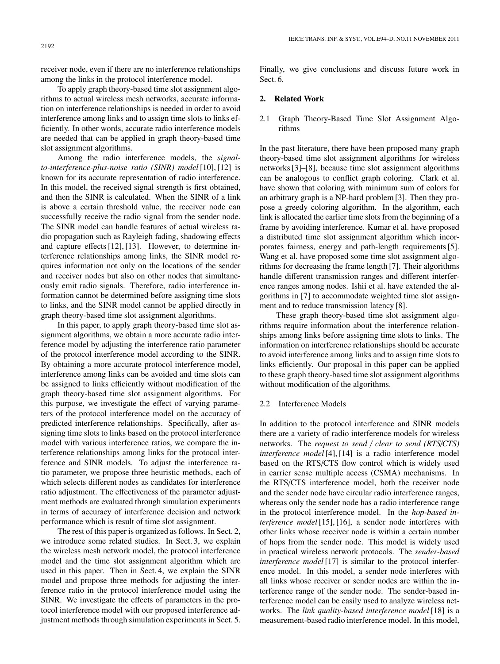receiver node, even if there are no interference relationships among the links in the protocol interference model.

To apply graph theory-based time slot assignment algorithms to actual wireless mesh networks, accurate information on interference relationships is needed in order to avoid interference among links and to assign time slots to links efficiently. In other words, accurate radio interference models are needed that can be applied in graph theory-based time slot assignment algorithms.

Among the radio interference models, the *signalto-interference-plus-noise ratio (SINR) model* [10], [12] is known for its accurate representation of radio interference. In this model, the received signal strength is first obtained, and then the SINR is calculated. When the SINR of a link is above a certain threshold value, the receiver node can successfully receive the radio signal from the sender node. The SINR model can handle features of actual wireless radio propagation such as Rayleigh fading, shadowing effects and capture effects [12], [13]. However, to determine interference relationships among links, the SINR model requires information not only on the locations of the sender and receiver nodes but also on other nodes that simultaneously emit radio signals. Therefore, radio interference information cannot be determined before assigning time slots to links, and the SINR model cannot be applied directly in graph theory-based time slot assignment algorithms.

In this paper, to apply graph theory-based time slot assignment algorithms, we obtain a more accurate radio interference model by adjusting the interference ratio parameter of the protocol interference model according to the SINR. By obtaining a more accurate protocol interference model, interference among links can be avoided and time slots can be assigned to links efficiently without modification of the graph theory-based time slot assignment algorithms. For this purpose, we investigate the effect of varying parameters of the protocol interference model on the accuracy of predicted interference relationships. Specifically, after assigning time slots to links based on the protocol interference model with various interference ratios, we compare the interference relationships among links for the protocol interference and SINR models. To adjust the interference ratio parameter, we propose three heuristic methods, each of which selects different nodes as candidates for interference ratio adjustment. The effectiveness of the parameter adjustment methods are evaluated through simulation experiments in terms of accuracy of interference decision and network performance which is result of time slot assignment.

The rest of this paper is organized as follows. In Sect. 2, we introduce some related studies. In Sect. 3, we explain the wireless mesh network model, the protocol interference model and the time slot assignment algorithm which are used in this paper. Then in Sect. 4, we explain the SINR model and propose three methods for adjusting the interference ratio in the protocol interference model using the SINR. We investigate the effects of parameters in the protocol interference model with our proposed interference adjustment methods through simulation experiments in Sect. 5. Finally, we give conclusions and discuss future work in Sect. 6.

## **2. Related Work**

2.1 Graph Theory-Based Time Slot Assignment Algorithms

In the past literature, there have been proposed many graph theory-based time slot assignment algorithms for wireless networks [3]–[8], because time slot assignment algorithms can be analogous to conflict graph coloring. Clark et al. have shown that coloring with minimum sum of colors for an arbitrary graph is a NP-hard problem [3]. Then they propose a greedy coloring algorithm. In the algorithm, each link is allocated the earlier time slots from the beginning of a frame by avoiding interference. Kumar et al. have proposed a distributed time slot assignment algorithm which incorporates fairness, energy and path-length requirements [5]. Wang et al. have proposed some time slot assignment algorithms for decreasing the frame length [7]. Their algorithms handle different transmission ranges and different interference ranges among nodes. Ishii et al. have extended the algorithms in [7] to accommodate weighted time slot assignment and to reduce transmission latency [8].

These graph theory-based time slot assignment algorithms require information about the interference relationships among links before assigning time slots to links. The information on interference relationships should be accurate to avoid interference among links and to assign time slots to links efficiently. Our proposal in this paper can be applied to these graph theory-based time slot assignment algorithms without modification of the algorithms.

## 2.2 Interference Models

In addition to the protocol interference and SINR models there are a variety of radio interference models for wireless networks. The *request to send* / *clear to send (RTS*/*CTS) interference model* [4], [14] is a radio interference model based on the RTS/CTS flow control which is widely used in carrier sense multiple access (CSMA) mechanisms. In the RTS/CTS interference model, both the receiver node and the sender node have circular radio interference ranges, whereas only the sender node has a radio interference range in the protocol interference model. In the *hop-based interference model* [15], [16], a sender node interferes with other links whose receiver node is within a certain number of hops from the sender node. This model is widely used in practical wireless network protocols. The *sender-based interference model* [17] is similar to the protocol interference model. In this model, a sender node interferes with all links whose receiver or sender nodes are within the interference range of the sender node. The sender-based interference model can be easily used to analyze wireless networks. The *link quality-based interference model* [18] is a measurement-based radio interference model. In this model,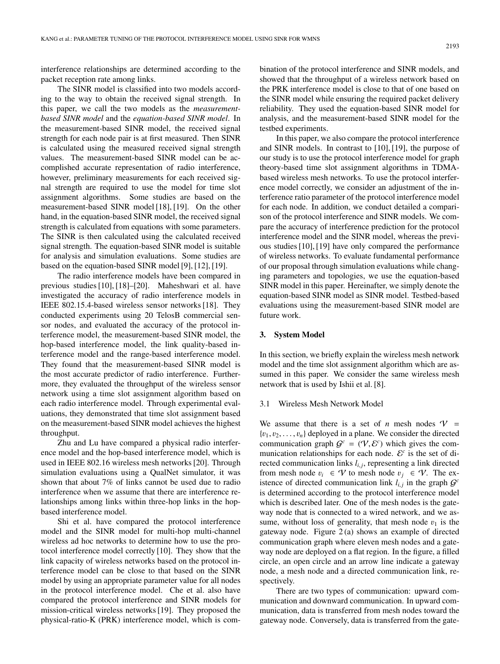interference relationships are determined according to the packet reception rate among links.

The SINR model is classified into two models according to the way to obtain the received signal strength. In this paper, we call the two models as the *measurementbased SINR model* and the *equation-based SINR model*. In the measurement-based SINR model, the received signal strength for each node pair is at first measured. Then SINR is calculated using the measured received signal strength values. The measurement-based SINR model can be accomplished accurate representation of radio interference, however, preliminary measurements for each received signal strength are required to use the model for time slot assignment algorithms. Some studies are based on the measurement-based SINR model [18], [19]. On the other hand, in the equation-based SINR model, the received signal strength is calculated from equations with some parameters. The SINR is then calculated using the calculated received signal strength. The equation-based SINR model is suitable for analysis and simulation evaluations. Some studies are based on the equation-based SINR model [9], [12], [19].

The radio interference models have been compared in previous studies [10], [18]–[20]. Maheshwari et al. have investigated the accuracy of radio interference models in IEEE 802.15.4-based wireless sensor networks [18]. They conducted experiments using 20 TelosB commercial sensor nodes, and evaluated the accuracy of the protocol interference model, the measurement-based SINR model, the hop-based interference model, the link quality-based interference model and the range-based interference model. They found that the measurement-based SINR model is the most accurate predictor of radio interference. Furthermore, they evaluated the throughput of the wireless sensor network using a time slot assignment algorithm based on each radio interference model. Through experimental evaluations, they demonstrated that time slot assignment based on the measurement-based SINR model achieves the highest throughput.

Zhu and Lu have compared a physical radio interference model and the hop-based interference model, which is used in IEEE 802.16 wireless mesh networks [20]. Through simulation evaluations using a QualNet simulator, it was shown that about 7% of links cannot be used due to radio interference when we assume that there are interference relationships among links within three-hop links in the hopbased interference model.

Shi et al. have compared the protocol interference model and the SINR model for multi-hop multi-channel wireless ad hoc networks to determine how to use the protocol interference model correctly [10]. They show that the link capacity of wireless networks based on the protocol interference model can be close to that based on the SINR model by using an appropriate parameter value for all nodes in the protocol interference model. Che et al. also have compared the protocol interference and SINR models for mission-critical wireless networks [19]. They proposed the physical-ratio-K (PRK) interference model, which is combination of the protocol interference and SINR models, and showed that the throughput of a wireless network based on the PRK interference model is close to that of one based on the SINR model while ensuring the required packet delivery reliability. They used the equation-based SINR model for analysis, and the measurement-based SINR model for the testbed experiments.

In this paper, we also compare the protocol interference and SINR models. In contrast to [10], [19], the purpose of our study is to use the protocol interference model for graph theory-based time slot assignment algorithms in TDMAbased wireless mesh networks. To use the protocol interference model correctly, we consider an adjustment of the interference ratio parameter of the protocol interference model for each node. In addition, we conduct detailed a comparison of the protocol interference and SINR models. We compare the accuracy of interference prediction for the protocol interference model and the SINR model, whereas the previous studies [10], [19] have only compared the performance of wireless networks. To evaluate fundamental performance of our proposal through simulation evaluations while changing parameters and topologies, we use the equation-based SINR model in this paper. Hereinafter, we simply denote the equation-based SINR model as SINR model. Testbed-based evaluations using the measurement-based SINR model are future work.

#### **3. System Model**

In this section, we briefly explain the wireless mesh network model and the time slot assignment algorithm which are assumed in this paper. We consider the same wireless mesh network that is used by Ishii et al. [8].

## 3.1 Wireless Mesh Network Model

We assume that there is a set of *n* mesh nodes  $V =$  $\{v_1, v_2, \ldots, v_n\}$  deployed in a plane. We consider the directed communication graph  $G^c = (V, \mathcal{E}^c)$  which gives the com-<br>munication relationships for each node.  $\mathcal{E}^c$  is the set of dimunication relationships for each node.  $\mathcal{E}^c$  is the set of directed communication links  $l_{i,j}$ , representing a link directed from mesh node  $v_i \in \mathcal{V}$  to mesh node  $v_j \in \mathcal{V}$ . The existence of directed communication link  $l_{i,j}$  in the graph  $\mathcal{G}^c$ is determined according to the protocol interference model which is described later. One of the mesh nodes is the gateway node that is connected to a wired network, and we assume, without loss of generality, that mesh node  $v_1$  is the gateway node. Figure  $2(a)$  shows an example of directed communication graph where eleven mesh nodes and a gateway node are deployed on a flat region. In the figure, a filled circle, an open circle and an arrow line indicate a gateway node, a mesh node and a directed communication link, respectively.

There are two types of communication: upward communication and downward communication. In upward communication, data is transferred from mesh nodes toward the gateway node. Conversely, data is transferred from the gate-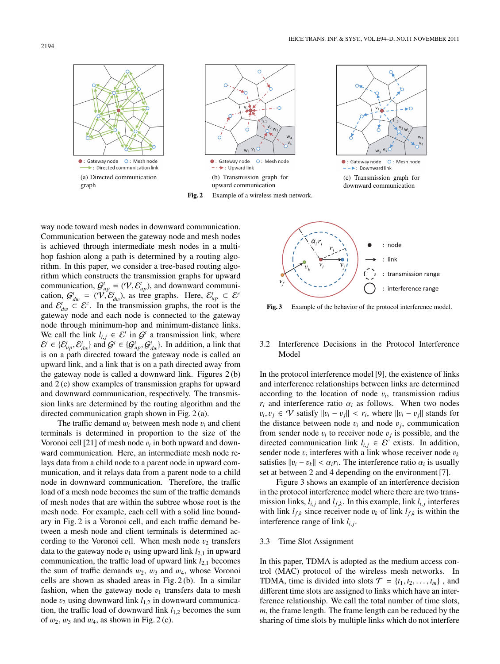





(c) Transmission graph for downward communication



**Fig. 3** Example of the behavior of the protocol interference model.

## 3.2 Interference Decisions in the Protocol Interference Model

In the protocol interference model [9], the existence of links and interference relationships between links are determined according to the location of node  $v_i$ , transmission radius  $r_i$  and interference ratio  $\alpha_i$  as follows. When two nodes *v<sub>i</sub>*, *v<sub>i</sub>* ∈ *V* satisfy  $||v_i - v_j||$  < *r<sub>i</sub>*, where  $||v_i - v_j||$  stands for the distance between node  $v_i$  and node  $v_j$ , communication from sender node  $v_i$  to receiver node  $v_j$  is possible, and the directed communication link  $l_{i,j} \in \mathcal{E}^c$  exists. In addition, sender node  $v_i$  interferes with a link whose receiver node  $v_k$ satisfies  $||v_i - v_k|| < \alpha_i r_i$ . The interference ratio  $\alpha_i$  is usually set at between 2 and 4 depending on the environment [7].

Figure 3 shows an example of an interference decision in the protocol interference model where there are two transmission links,  $l_{i,j}$  and  $l_{f,k}$ . In this example, link  $l_{i,j}$  interferes with link  $l_{f,k}$  since receiver node  $v_k$  of link  $l_{f,k}$  is within the interference range of link *li*, *<sup>j</sup>*.

#### 3.3 Time Slot Assignment

In this paper, TDMA is adopted as the medium access control (MAC) protocol of the wireless mesh networks. In TDMA, time is divided into slots  $\mathcal{T} = \{t_1, t_2, \ldots, t_m\}$ , and different time slots are assigned to links which have an interference relationship. We call the total number of time slots, *m*, the frame length. The frame length can be reduced by the sharing of time slots by multiple links which do not interfere

way node toward mesh nodes in downward communication. Communication between the gateway node and mesh nodes is achieved through intermediate mesh nodes in a multihop fashion along a path is determined by a routing algorithm. In this paper, we consider a tree-based routing algorithm which constructs the transmission graphs for upward communication,  $G_{\mu}^t = (\mathcal{V}, \mathcal{E}_{\mu}^t)$ , and downward communication  $G^t = (\mathcal{V}, \mathcal{E}^t)$  as tree graphs. Here  $\mathcal{E}^t \subset \mathcal{E}^c$ cation,  $G_{dw}^t = (\mathcal{V}, \mathcal{E}_{dw}^t)$ , as tree graphs. Here,  $\mathcal{E}_{up}^t \subset \mathcal{E}^c$ <br>and  $\mathcal{E}_{\perp}^t \subset \mathcal{E}^c$ . In the transmission graphs, the root is the and  $\mathcal{E}_{dw}^t \subset \mathcal{E}^c$ . In the transmission graphs, the root is the gateway node and each node is connected to the gateway gateway node and each node is connected to the gateway node through minimum-hop and minimum-distance links. We call the link  $l_{i,j} \in \mathcal{E}^t$  in  $\mathcal{G}^t$  a transmission link, where  $\mathcal{E}^t \in \{\mathcal{E}^t_{up}, \mathcal{E}^t_{dw}\}$  and  $\mathcal{G}^t \in \{\mathcal{G}^t_{up}, \mathcal{G}^t_{dw}\}$ . In addition, a link that is on a path directed toward the gateway node is called an is on a path directed toward the gateway node is called an upward link, and a link that is on a path directed away from the gateway node is called a downward link. Figures 2 (b) and 2 (c) show examples of transmission graphs for upward and downward communication, respectively. The transmission links are determined by the routing algorithm and the directed communication graph shown in Fig. 2 (a).

The traffic demand  $w_i$  between mesh node  $v_i$  and client terminals is determined in proportion to the size of the Voronoi cell [21] of mesh node <sup>v</sup>*<sup>i</sup>* in both upward and downward communication. Here, an intermediate mesh node relays data from a child node to a parent node in upward communication, and it relays data from a parent node to a child node in downward communication. Therefore, the traffic load of a mesh node becomes the sum of the traffic demands of mesh nodes that are within the subtree whose root is the mesh node. For example, each cell with a solid line boundary in Fig. 2 is a Voronoi cell, and each traffic demand between a mesh node and client terminals is determined according to the Voronoi cell. When mesh node  $v_2$  transfers data to the gateway node  $v_1$  using upward link  $l_{2,1}$  in upward communication, the traffic load of upward link  $l_{2,1}$  becomes the sum of traffic demands  $w_2$ ,  $w_3$  and  $w_4$ , whose Voronoi cells are shown as shaded areas in Fig. 2 (b). In a similar fashion, when the gateway node  $v_1$  transfers data to mesh node  $v_2$  using downward link  $l_{1,2}$  in downward communication, the traffic load of downward link  $l_{1,2}$  becomes the sum of  $w_2$ ,  $w_3$  and  $w_4$ , as shown in Fig. 2 (c).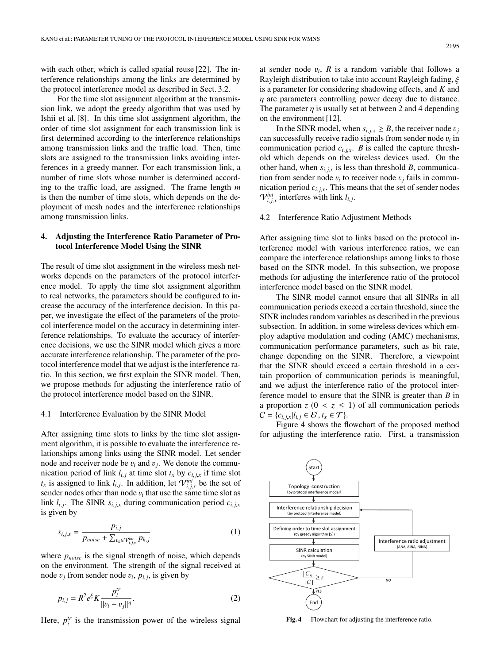with each other, which is called spatial reuse [22]. The interference relationships among the links are determined by the protocol interference model as described in Sect. 3.2.

For the time slot assignment algorithm at the transmission link, we adopt the greedy algorithm that was used by Ishii et al. [8]. In this time slot assignment algorithm, the order of time slot assignment for each transmission link is first determined according to the interference relationships among transmission links and the traffic load. Then, time slots are assigned to the transmission links avoiding interferences in a greedy manner. For each transmission link, a number of time slots whose number is determined according to the traffic load, are assigned. The frame length *m* is then the number of time slots, which depends on the deployment of mesh nodes and the interference relationships among transmission links.

## **4. Adjusting the Interference Ratio Parameter of Protocol Interference Model Using the SINR**

The result of time slot assignment in the wireless mesh networks depends on the parameters of the protocol interference model. To apply the time slot assignment algorithm to real networks, the parameters should be configured to increase the accuracy of the interference decision. In this paper, we investigate the effect of the parameters of the protocol interference model on the accuracy in determining interference relationships. To evaluate the accuracy of interference decisions, we use the SINR model which gives a more accurate interference relationship. The parameter of the protocol interference model that we adjust is the interference ratio. In this section, we first explain the SINR model. Then, we propose methods for adjusting the interference ratio of the protocol interference model based on the SINR.

#### 4.1 Interference Evaluation by the SINR Model

After assigning time slots to links by the time slot assignment algorithm, it is possible to evaluate the interference relationships among links using the SINR model. Let sender node and receiver node be  $v_i$  and  $v_j$ . We denote the communication period of link  $l_{i,j}$  at time slot  $t_x$  by  $c_{i,j,x}$  if time slot  $t_x$  is assigned to link  $l_{i,j}$ . In addition, let  $V_{i,j}^{int}$  be the set of sender nodes other than node *n*; that use the same time slot as sender nodes other than node  $v_i$  that use the same time slot as link  $l_{i,j}$ . The SINR  $s_{i,j,x}$  during communication period  $c_{i,j,x}$ is given by

$$
s_{i,j,x} = \frac{p_{i,j}}{p_{noise} + \sum_{v_k \in \mathcal{V}^{int}_{i,j,x}} p_{k,j}} \tag{1}
$$

where  $p_{noise}$  is the signal strength of noise, which depends on the environment. The strength of the signal received at node  $v_j$  from sender node  $v_i$ ,  $p_{i,j}$ , is given by

$$
p_{i,j} = R^2 e^{\xi} K \frac{p_i^{tr}}{\|v_i - v_j\|^{\eta}}.
$$
 (2)

Here,  $p_i^t$  is the transmission power of the wireless signal

at sender node  $v_i$ ,  $R$  is a random variable that follows a Rayleigh distribution to take into account Rayleigh fading,  $\xi$ is a parameter for considering shadowing effects, and *K* and  $\eta$  are parameters controlling power decay due to distance. The parameter  $\eta$  is usually set at between 2 and 4 depending on the environment [12].

In the SINR model, when  $s_{i,j,x} \geq B$ , the receiver node  $v_j$ can successfully receive radio signals from sender node <sup>v</sup>*<sup>i</sup>* in communication period  $c_{i,j,x}$ . *B* is called the capture threshold which depends on the wireless devices used. On the other hand, when  $s_{i,i,x}$  is less than threshold *B*, communication from sender node  $v_i$  to receiver node  $v_j$  fails in communication period  $c_{i,j,x}$ . This means that the set of sender nodes  $V_{i,j,x}^{int}$  interferes with link  $l_{i,j}$ .

#### 4.2 Interference Ratio Adjustment Methods

After assigning time slot to links based on the protocol interference model with various interference ratios, we can compare the interference relationships among links to those based on the SINR model. In this subsection, we propose methods for adjusting the interference ratio of the protocol interference model based on the SINR model.

The SINR model cannot ensure that all SINRs in all communication periods exceed a certain threshold, since the SINR includes random variables as described in the previous subsection. In addition, in some wireless devices which employ adaptive modulation and coding (AMC) mechanisms, communication performance parameters, such as bit rate, change depending on the SINR. Therefore, a viewpoint that the SINR should exceed a certain threshold in a certain proportion of communication periods is meaningful, and we adjust the interference ratio of the protocol interference model to ensure that the SINR is greater than *B* in a proportion  $z (0 < z \leq 1)$  of all communication periods  $C = \{c_{i,j,x} | l_{i,j} \in \mathcal{E}^t, t_x \in \mathcal{T} \}.$ <br>Figure 4 shows the fl

Figure 4 shows the flowchart of the proposed method for adjusting the interference ratio. First, a transmission



**Fig. 4** Flowchart for adjusting the interference ratio.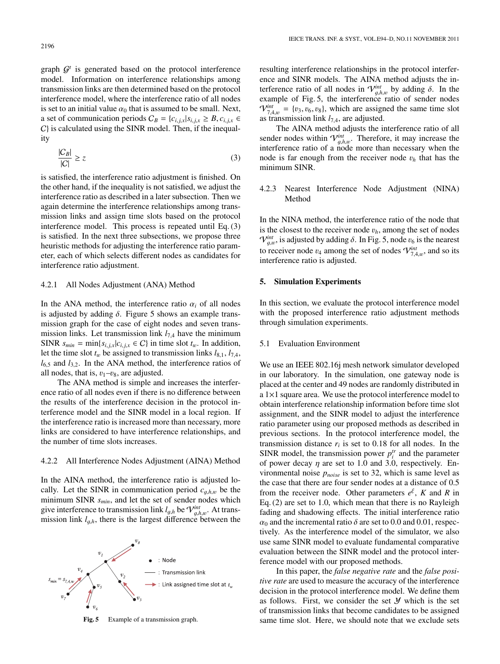graph  $G<sup>t</sup>$  is generated based on the protocol interference model. Information on interference relationships among transmission links are then determined based on the protocol interference model, where the interference ratio of all nodes is set to an initial value  $\alpha_0$  that is assumed to be small. Next, a set of communication periods  $C_B = \{c_{i,j,x}|s_{i,j,x} \geq B, c_{i,j,x} \in$ C} is calculated using the SINR model. Then, if the inequality

$$
\frac{|C_B|}{|C|} \ge z \tag{3}
$$

is satisfied, the interference ratio adjustment is finished. On the other hand, if the inequality is not satisfied, we adjust the interference ratio as described in a later subsection. Then we again determine the interference relationships among transmission links and assign time slots based on the protocol interference model. This process is repeated until Eq. (3) is satisfied. In the next three subsections, we propose three heuristic methods for adjusting the interference ratio parameter, each of which selects different nodes as candidates for interference ratio adjustment.

#### 4.2.1 All Nodes Adjustment (ANA) Method

In the ANA method, the interference ratio  $\alpha_i$  of all nodes is adjusted by adding  $\delta$ . Figure 5 shows an example transmission graph for the case of eight nodes and seven transmission links. Let transmission link  $l_{74}$  have the minimum SINR  $s_{min} = \min\{s_{i,j,x}|c_{i,j,x} \in C\}$  in time slot  $t_w$ . In addition, let the time slot  $t_w$  be assigned to transmission links  $l_{8,1}$ ,  $l_{7,4}$ , *<sup>l</sup>*6,<sup>5</sup> and *<sup>l</sup>*3,2. In the ANA method, the interference ratios of all nodes, that is,  $v_1-v_8$ , are adjusted.

The ANA method is simple and increases the interference ratio of all nodes even if there is no difference between the results of the interference decision in the protocol interference model and the SINR model in a local region. If the interference ratio is increased more than necessary, more links are considered to have interference relationships, and the number of time slots increases.

#### 4.2.2 All Interference Nodes Adjustment (AINA) Method

In the AINA method, the interference ratio is adjusted locally. Let the SINR in communication period  $c_{q,h,w}$  be the minimum SINR *smin*, and let the set of sender nodes which give interference to transmission link  $l_{g,h}$  be  $V_{g,h,u}^{int}$ . At trans-<br>mission link  $l_{g,h}$ , there is the largest difference between the mission link  $l_{q,h}$ , there is the largest difference between the



**Fig. 5** Example of a transmission graph.

resulting interference relationships in the protocol interference and SINR models. The AINA method adjusts the interference ratio of all nodes in  $V_{g,h,w}^{int}$  by adding  $\delta$ . In the example of Fig. 5, the interference ratio of sender nodes example of Fig. 5, the interference ratio of sender nodes  $V_{7,4,w}^{int} = \{v_3, v_6, v_8\}$ , which are assigned the same time slot as transmission link  $l_{2,4}$  are adjusted as transmission link  $l_{7,4}$ , are adjusted.

The AINA method adjusts the interference ratio of all sender nodes within  $V_{g,h,w}^{int}$ . Therefore, it may increase the interference ratio of a node more than necessary when the interference ratio of a node more than necessary when the node is far enough from the receiver node <sup>v</sup>*<sup>h</sup>* that has the minimum SINR.

## 4.2.3 Nearest Interference Node Adjustment (NINA) Method

In the NINA method, the interference ratio of the node that is the closest to the receiver node v*<sup>h</sup>*, among the set of nodes  $V_{g,w}^{int}$ , is adjusted by adding  $\delta$ . In Fig. 5, node  $v_6$  is the nearest<br>to require node v. smong the set of nodes  $Q_{uu}^{int}$  and so its to receiver node  $v_4$  among the set of nodes  $\mathcal{V}^{int}_{7,4,w}$ , and so its interference ratio is adjusted interference ratio is adjusted.

## **5. Simulation Experiments**

In this section, we evaluate the protocol interference model with the proposed interference ratio adjustment methods through simulation experiments.

#### 5.1 Evaluation Environment

We use an IEEE 802.16j mesh network simulator developed in our laboratory. In the simulation, one gateway node is placed at the center and 49 nodes are randomly distributed in a 1×1 square area. We use the protocol interference model to obtain interference relationship information before time slot assignment, and the SINR model to adjust the interference ratio parameter using our proposed methods as described in previous sections. In the protocol interference model, the transmission distance  $r_i$  is set to 0.18 for all nodes. In the SINR model, the transmission power  $p_i^{tr}$  and the parameter of power decay  $\eta$  are set to 1.0 and 3.0, respectively. Environmental noise  $p_{noise}$  is set to 32, which is same level as the case that there are four sender nodes at a distance of 0.5 from the receiver node. Other parameters  $e^{\xi}$ , *K* and *R* in Eq. (2) are set to 1.0, which mean that there is no Rayleigh fading and shadowing effects. The initial interference ratio  $\alpha_0$  and the incremental ratio  $\delta$  are set to 0.0 and 0.01, respectively. As the interference model of the simulator, we also use same SINR model to evaluate fundamental comparative evaluation between the SINR model and the protocol interference model with our proposed methods.

In this paper, the *false negative rate* and the *false positive rate* are used to measure the accuracy of the interference decision in the protocol interference model. We define them as follows. First, we consider the set  $Y$  which is the set of transmission links that become candidates to be assigned same time slot. Here, we should note that we exclude sets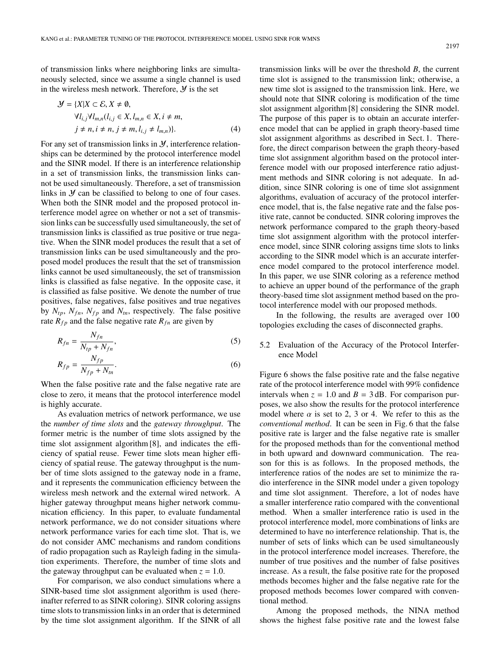of transmission links where neighboring links are simultaneously selected, since we assume a single channel is used in the wireless mesh network. Therefore,  $\mathcal{Y}$  is the set

$$
\mathcal{Y} = \{X | X \subset \mathcal{E}, X \neq \emptyset, \n\forall l_{i,j} \forall l_{m,n} (l_{i,j} \in X, l_{m,n} \in X, i \neq m, \nj \neq n, i \neq n, j \neq m, l_{i,j} \neq l_{m,n})\}.
$$
\n(4)

For any set of transmission links in  $\mathcal{Y}$ , interference relationships can be determined by the protocol interference model and the SINR model. If there is an interference relationship in a set of transmission links, the transmission links cannot be used simultaneously. Therefore, a set of transmission links in  $\mathcal Y$  can be classified to belong to one of four cases. When both the SINR model and the proposed protocol interference model agree on whether or not a set of transmission links can be successfully used simultaneously, the set of transmission links is classified as true positive or true negative. When the SINR model produces the result that a set of transmission links can be used simultaneously and the proposed model produces the result that the set of transmission links cannot be used simultaneously, the set of transmission links is classified as false negative. In the opposite case, it is classified as false positive. We denote the number of true positives, false negatives, false positives and true negatives by  $N_{tp}$ ,  $N_{fn}$ ,  $N_{fp}$  and  $N_{tn}$ , respectively. The false positive rate  $R_{fp}$  and the false negative rate  $R_{fn}$  are given by

$$
R_{fn} = \frac{N_{fn}}{N_{tp} + N_{fn}},\tag{5}
$$

$$
R_{fp} = \frac{N_{fp}}{N_{fp} + N_{tn}}.\tag{6}
$$

When the false positive rate and the false negative rate are close to zero, it means that the protocol interference model is highly accurate.

As evaluation metrics of network performance, we use the *number of time slots* and the *gateway throughput*. The former metric is the number of time slots assigned by the time slot assignment algorithm [8], and indicates the efficiency of spatial reuse. Fewer time slots mean higher efficiency of spatial reuse. The gateway throughput is the number of time slots assigned to the gateway node in a frame, and it represents the communication efficiency between the wireless mesh network and the external wired network. A higher gateway throughput means higher network communication efficiency. In this paper, to evaluate fundamental network performance, we do not consider situations where network performance varies for each time slot. That is, we do not consider AMC mechanisms and random conditions of radio propagation such as Rayleigh fading in the simulation experiments. Therefore, the number of time slots and the gateway throughput can be evaluated when  $z = 1.0$ .

For comparison, we also conduct simulations where a SINR-based time slot assignment algorithm is used (hereinafter referred to as SINR coloring). SINR coloring assigns time slots to transmission links in an order that is determined by the time slot assignment algorithm. If the SINR of all transmission links will be over the threshold *B*, the current time slot is assigned to the transmission link; otherwise, a new time slot is assigned to the transmission link. Here, we should note that SINR coloring is modification of the time slot assignment algorithm [8] considering the SINR model. The purpose of this paper is to obtain an accurate interference model that can be applied in graph theory-based time slot assignment algorithms as described in Sect. 1. Therefore, the direct comparison between the graph theory-based time slot assignment algorithm based on the protocol interference model with our proposed interference ratio adjustment methods and SINR coloring is not adequate. In addition, since SINR coloring is one of time slot assignment algorithms, evaluation of accuracy of the protocol interference model, that is, the false negative rate and the false positive rate, cannot be conducted. SINR coloring improves the network performance compared to the graph theory-based time slot assignment algorithm with the protocol interference model, since SINR coloring assigns time slots to links according to the SINR model which is an accurate interference model compared to the protocol interference model. In this paper, we use SINR coloring as a reference method to achieve an upper bound of the performance of the graph theory-based time slot assignment method based on the protocol interference model with our proposed methods.

In the following, the results are averaged over 100 topologies excluding the cases of disconnected graphs.

## 5.2 Evaluation of the Accuracy of the Protocol Interference Model

Figure 6 shows the false positive rate and the false negative rate of the protocol interference model with 99% confidence intervals when  $z = 1.0$  and  $B = 3$  dB. For comparison purposes, we also show the results for the protocol interference model where  $\alpha$  is set to 2, 3 or 4. We refer to this as the *conventional method*. It can be seen in Fig. 6 that the false positive rate is larger and the false negative rate is smaller for the proposed methods than for the conventional method in both upward and downward communication. The reason for this is as follows. In the proposed methods, the interference ratios of the nodes are set to minimize the radio interference in the SINR model under a given topology and time slot assignment. Therefore, a lot of nodes have a smaller interference ratio compared with the conventional method. When a smaller interference ratio is used in the protocol interference model, more combinations of links are determined to have no interference relationship. That is, the number of sets of links which can be used simultaneously in the protocol interference model increases. Therefore, the number of true positives and the number of false positives increase. As a result, the false positive rate for the proposed methods becomes higher and the false negative rate for the proposed methods becomes lower compared with conventional method.

Among the proposed methods, the NINA method shows the highest false positive rate and the lowest false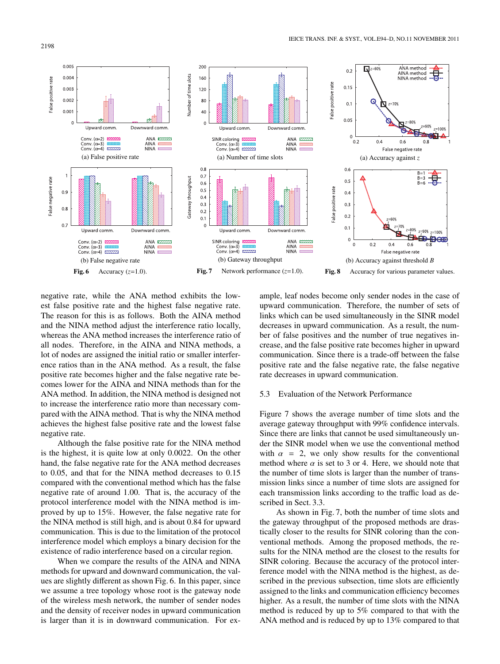

negative rate, while the ANA method exhibits the lowest false positive rate and the highest false negative rate. The reason for this is as follows. Both the AINA method and the NINA method adjust the interference ratio locally, whereas the ANA method increases the interference ratio of all nodes. Therefore, in the AINA and NINA methods, a lot of nodes are assigned the initial ratio or smaller interference ratios than in the ANA method. As a result, the false positive rate becomes higher and the false negative rate becomes lower for the AINA and NINA methods than for the ANA method. In addition, the NINA method is designed not to increase the interference ratio more than necessary compared with the AINA method. That is why the NINA method achieves the highest false positive rate and the lowest false negative rate.

Although the false positive rate for the NINA method is the highest, it is quite low at only 0.0022. On the other hand, the false negative rate for the ANA method decreases to 0.05, and that for the NINA method decreases to 0.15 compared with the conventional method which has the false negative rate of around 1.00. That is, the accuracy of the protocol interference model with the NINA method is improved by up to 15%. However, the false negative rate for the NINA method is still high, and is about 0.84 for upward communication. This is due to the limitation of the protocol interference model which employs a binary decision for the existence of radio interference based on a circular region.

When we compare the results of the AINA and NINA methods for upward and downward communication, the values are slightly different as shown Fig. 6. In this paper, since we assume a tree topology whose root is the gateway node of the wireless mesh network, the number of sender nodes and the density of receiver nodes in upward communication is larger than it is in downward communication. For ex-

ample, leaf nodes become only sender nodes in the case of upward communication. Therefore, the number of sets of links which can be used simultaneously in the SINR model decreases in upward communication. As a result, the number of false positives and the number of true negatives increase, and the false positive rate becomes higher in upward communication. Since there is a trade-off between the false positive rate and the false negative rate, the false negative rate decreases in upward communication.

## 5.3 Evaluation of the Network Performance

Figure 7 shows the average number of time slots and the average gateway throughput with 99% confidence intervals. Since there are links that cannot be used simultaneously under the SINR model when we use the conventional method with  $\alpha = 2$ , we only show results for the conventional method where  $\alpha$  is set to 3 or 4. Here, we should note that the number of time slots is larger than the number of transmission links since a number of time slots are assigned for each transmission links according to the traffic load as described in Sect. 3.3.

As shown in Fig. 7, both the number of time slots and the gateway throughput of the proposed methods are drastically closer to the results for SINR coloring than the conventional methods. Among the proposed methods, the results for the NINA method are the closest to the results for SINR coloring. Because the accuracy of the protocol interference model with the NINA method is the highest, as described in the previous subsection, time slots are efficiently assigned to the links and communication efficiency becomes higher. As a result, the number of time slots with the NINA method is reduced by up to 5% compared to that with the ANA method and is reduced by up to 13% compared to that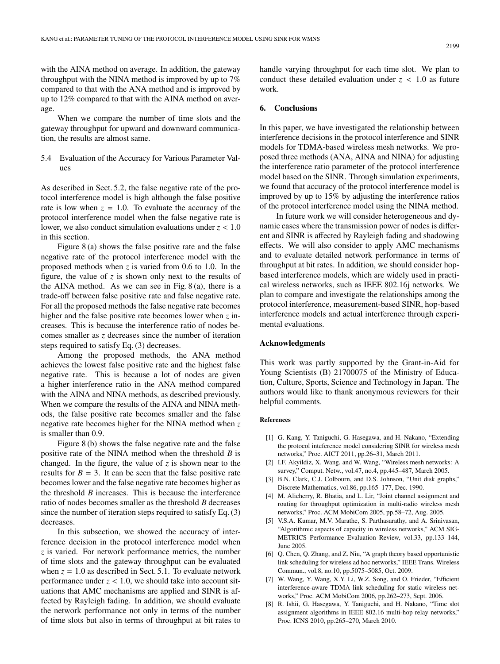with the AINA method on average. In addition, the gateway throughput with the NINA method is improved by up to 7% compared to that with the ANA method and is improved by up to 12% compared to that with the AINA method on average.

When we compare the number of time slots and the gateway throughput for upward and downward communication, the results are almost same.

# 5.4 Evaluation of the Accuracy for Various Parameter Values

As described in Sect. 5.2, the false negative rate of the protocol interference model is high although the false positive rate is low when  $z = 1.0$ . To evaluate the accuracy of the protocol interference model when the false negative rate is lower, we also conduct simulation evaluations under  $z < 1.0$ in this section.

Figure 8 (a) shows the false positive rate and the false negative rate of the protocol interference model with the proposed methods when *z* is varied from 0.6 to 1.0. In the figure, the value of *z* is shown only next to the results of the AINA method. As we can see in Fig.  $8(a)$ , there is a trade-off between false positive rate and false negative rate. For all the proposed methods the false negative rate becomes higher and the false positive rate becomes lower when *z* increases. This is because the interference ratio of nodes becomes smaller as *z* decreases since the number of iteration steps required to satisfy Eq. (3) decreases.

Among the proposed methods, the ANA method achieves the lowest false positive rate and the highest false negative rate. This is because a lot of nodes are given a higher interference ratio in the ANA method compared with the AINA and NINA methods, as described previously. When we compare the results of the AINA and NINA methods, the false positive rate becomes smaller and the false negative rate becomes higher for the NINA method when *z* is smaller than 0.9.

Figure 8 (b) shows the false negative rate and the false positive rate of the NINA method when the threshold *B* is changed. In the figure, the value of *z* is shown near to the results for  $B = 3$ . It can be seen that the false positive rate becomes lower and the false negative rate becomes higher as the threshold *B* increases. This is because the interference ratio of nodes becomes smaller as the threshold *B* decreases since the number of iteration steps required to satisfy Eq. (3) decreases.

In this subsection, we showed the accuracy of interference decision in the protocol interference model when *z* is varied. For network performance metrics, the number of time slots and the gateway throughput can be evaluated when  $z = 1.0$  as described in Sect. 5.1. To evaluate network performance under  $z < 1.0$ , we should take into account situations that AMC mechanisms are applied and SINR is affected by Rayleigh fading. In addition, we should evaluate the network performance not only in terms of the number of time slots but also in terms of throughput at bit rates to handle varying throughput for each time slot. We plan to conduct these detailed evaluation under  $z < 1.0$  as future work.

## **6. Conclusions**

In this paper, we have investigated the relationship between interference decisions in the protocol interference and SINR models for TDMA-based wireless mesh networks. We proposed three methods (ANA, AINA and NINA) for adjusting the interference ratio parameter of the protocol interference model based on the SINR. Through simulation experiments, we found that accuracy of the protocol interference model is improved by up to 15% by adjusting the interference ratios of the protocol interference model using the NINA method.

In future work we will consider heterogeneous and dynamic cases where the transmission power of nodes is different and SINR is affected by Rayleigh fading and shadowing effects. We will also consider to apply AMC mechanisms and to evaluate detailed network performance in terms of throughput at bit rates. In addition, we should consider hopbased interference models, which are widely used in practical wireless networks, such as IEEE 802.16j networks. We plan to compare and investigate the relationships among the protocol interference, measurement-based SINR, hop-based interference models and actual interference through experimental evaluations.

#### **Acknowledgments**

This work was partly supported by the Grant-in-Aid for Young Scientists (B) 21700075 of the Ministry of Education, Culture, Sports, Science and Technology in Japan. The authors would like to thank anonymous reviewers for their helpful comments.

#### **References**

- [1] G. Kang, Y. Taniguchi, G. Hasegawa, and H. Nakano, "Extending the protocol inteference model considering SINR for wireless mesh networks," Proc. AICT 2011, pp.26–31, March 2011.
- [2] I.F. Akyildiz, X. Wang, and W. Wang, "Wireless mesh networks: A survey," Comput. Netw., vol.47, no.4, pp.445–487, March 2005.
- [3] B.N. Clark, C.J. Colbourn, and D.S. Johnson, "Unit disk graphs," Discrete Mathematics, vol.86, pp.165–177, Dec. 1990.
- [4] M. Alicherry, R. Bhatia, and L. Lir, "Joint channel assignment and routing for throughput optimization in multi-radio wireless mesh networks," Proc. ACM MobiCom 2005, pp.58–72, Aug. 2005.
- [5] V.S.A. Kumar, M.V. Marathe, S. Parthasarathy, and A. Srinivasan, "Algorithmic aspects of capacity in wireless networks," ACM SIG-METRICS Performance Evaluation Review, vol.33, pp.133–144, June 2005.
- [6] Q. Chen, Q. Zhang, and Z. Niu, "A graph theory based opportunistic link scheduling for wireless ad hoc networks," IEEE Trans. Wireless Commun., vol.8, no.10, pp.5075–5085, Oct. 2009.
- [7] W. Wang, Y. Wang, X.Y. Li, W.Z. Song, and O. Frieder, "Efficient interference-aware TDMA link scheduling for static wireless networks," Proc. ACM MobiCom 2006, pp.262–273, Sept. 2006.
- [8] R. Ishii, G. Hasegawa, Y. Taniguchi, and H. Nakano, "Time slot assignment algorithms in IEEE 802.16 multi-hop relay networks," Proc. ICNS 2010, pp.265–270, March 2010.